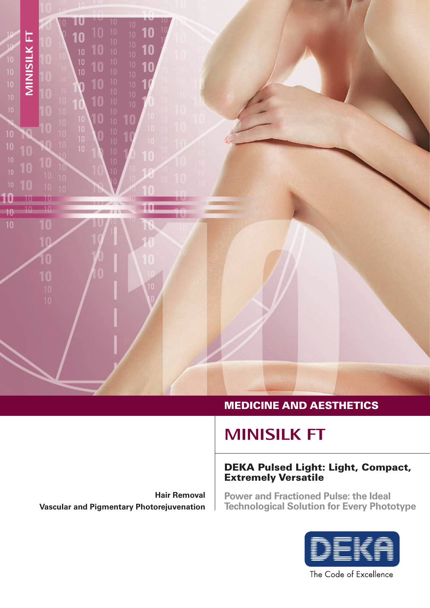

#### MEDICINE AND AESTHETICS

## **MINISILK FT**

#### DEKA Pulsed Light: Light, Compact, Extremely Versatile

**Hair Removal Vascular and Pigmentary Photorejuvenation** 

**Power and Fractioned Pulse: the Ideal Technological Solution for Every Phototype**



The Code of Excellence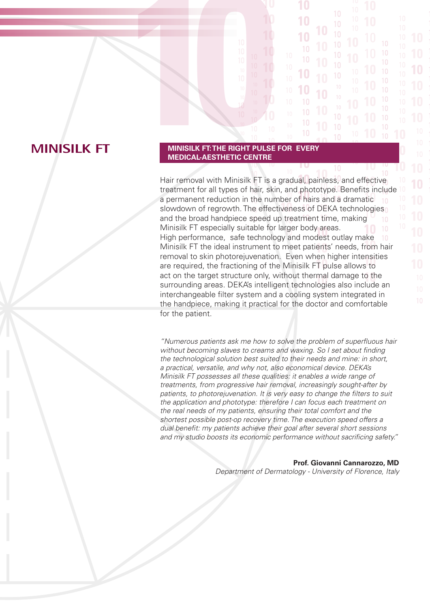### **MINISILK FT**

# **10 MINISILK FT: THE RIGHT PULSE FOR EVERY MEDICAL-AESTHETIC CENTRE**

Hair removal with Minisilk FT is a gradual, painless, and effective treatment for all types of hair, skin, and phototype. Benefits include a permanent reduction in the number of hairs and a dramatic slowdown of regrowth. The effectiveness of DEKA technologies and the broad handpiece speed up treatment time, making Minisilk FT especially suitable for larger body areas. High performance, safe technology and modest outlay make Minisilk FT the ideal instrument to meet patients' needs, from hair removal to skin photorejuvenation. Even when higher intensities are required, the fractioning of the Minisilk FT pulse allows to act on the target structure only, without thermal damage to the surrounding areas. DEKA's intelligent technologies also include an interchangeable filter system and a cooling system integrated in the handpiece, making it practical for the doctor and comfortable for the patient.

10

*"Numerous patients ask me how to solve the problem of superfluous hair without becoming slaves to creams and waxing. So I set about finding the technological solution best suited to their needs and mine: in short, a practical, versatile, and why not, also economical device. DEKA's Minisilk FT possesses all these qualities: it enables a wide range of treatments, from progressive hair removal, increasingly sought-after by patients, to photorejuvenation. It is very easy to change the filters to suit the application and phototype: therefore I can focus each treatment on the real needs of my patients, ensuring their total comfort and the shortest possible post-op recovery time. The execution speed offers a dual benefit: my patients achieve their goal after several short sessions and my studio boosts its economic performance without sacrificing safety."*

#### **Prof. Giovanni Cannarozzo, MD**

*Department of Dermatology - University of Florence, Italy*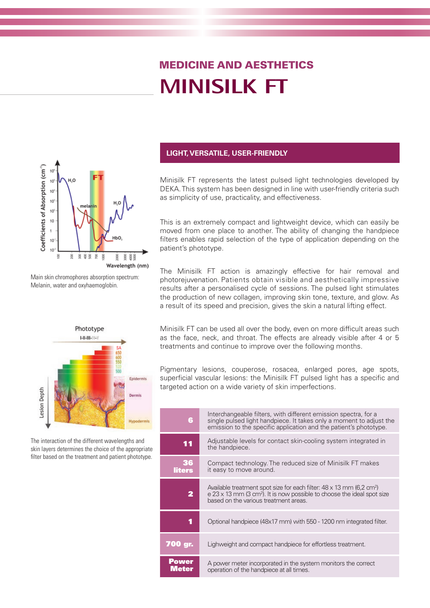# **MINISILK FT** MEDICINE AND AESTHETICS



Main skin chromophores absorption spectrum: Melanin, water and oxyhaemoglobin.



The interaction of the different wavelengths and skin layers determines the choice of the appropriate filter based on the treatment and patient phototype.

#### **LIGHT, VERSATILE, USER-FRIENDLY**

Minisilk FT represents the latest pulsed light technologies developed by DEKA. This system has been designed in line with user-friendly criteria such as simplicity of use, practicality, and effectiveness.

This is an extremely compact and lightweight device, which can easily be moved from one place to another. The ability of changing the handpiece filters enables rapid selection of the type of application depending on the patient's phototype.

The Minisilk FT action is amazingly effective for hair removal and photorejuvenation. Patients obtain visible and aesthetically impressive results after a personalised cycle of sessions. The pulsed light stimulates the production of new collagen, improving skin tone, texture, and glow. As a result of its speed and precision, gives the skin a natural lifting effect.

Minisilk FT can be used all over the body, even on more difficult areas such as the face, neck, and throat. The effects are already visible after 4 or 5 treatments and continue to improve over the following months.

Pigmentary lesions, couperose, rosacea, enlarged pores, age spots, superficial vascular lesions: the Minisilk FT pulsed light has a specific and targeted action on a wide variety of skin imperfections.

| 6                     | Interchangeable filters, with different emission spectra, for a<br>single pulsed light handpiece. It takes only a moment to adjust the<br>emission to the specific application and the patient's phototype.               |
|-----------------------|---------------------------------------------------------------------------------------------------------------------------------------------------------------------------------------------------------------------------|
| 11                    | Adjustable levels for contact skin-cooling system integrated in<br>the handpiece.                                                                                                                                         |
| 36<br>liters          | Compact technology. The reduced size of Minisilk FT makes<br>it easy to move around.                                                                                                                                      |
| 2                     | Available treatment spot size for each filter: $48 \times 13$ mm (6,2 cm <sup>2</sup> )<br>$e$ 23 x 13 mm (3 cm <sup>2</sup> ). It is now possible to choose the ideal spot size<br>based on the various treatment areas. |
| 1                     | Optional handpiece (48x17 mm) with 550 - 1200 nm integrated filter.                                                                                                                                                       |
| 700 qr.               | Lighweight and compact handpiece for effortless treatment.                                                                                                                                                                |
| <b>Power</b><br>Meter | A power meter incorporated in the system monitors the correct<br>operation of the handpiece at all times.                                                                                                                 |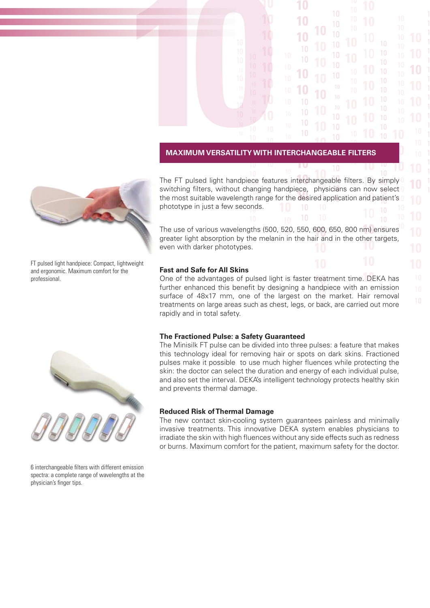# **10 MAXIMUM VERSATILITY WITH INTERCHANGEABLE FILTERS**

The FT pulsed light handpiece features interchangeable filters. By simply switching filters, without changing handpiece, physicians can now select the most suitable wavelength range for the desired application and patient's phototype in just a few seconds.

 $10$ 

The use of various wavelengths (500, 520, 550, 600, 650, 800 nm) ensures greater light absorption by the melanin in the hair and in the other targets, even with darker phototypes.

#### **Fast and Safe for All Skins**

One of the advantages of pulsed light is faster treatment time. DEKA has further enhanced this benefit by designing a handpiece with an emission surface of 48x17 mm, one of the largest on the market. Hair removal treatments on large areas such as chest, legs, or back, are carried out more rapidly and in total safety.

#### **The Fractioned Pulse: a Safety Guaranteed**

The Minisilk FT pulse can be divided into three pulses: a feature that makes this technology ideal for removing hair or spots on dark skins. Fractioned pulses make it possible to use much higher fluences while protecting the skin: the doctor can select the duration and energy of each individual pulse, and also set the interval. DEKA's intelligent technology protects healthy skin and prevents thermal damage.

#### **Reduced Risk of Thermal Damage**

The new contact skin-cooling system guarantees painless and minimally invasive treatments. This innovative DEKA system enables physicians to irradiate the skin with high fluences without any side effects such as redness or burns. Maximum comfort for the patient, maximum safety for the doctor.



FT pulsed light handpiece: Compact, lightweight and ergonomic. Maximum comfort for the professional.



6 interchangeable filters with different emission spectra: a complete range of wavelengths at the physician's finger tips.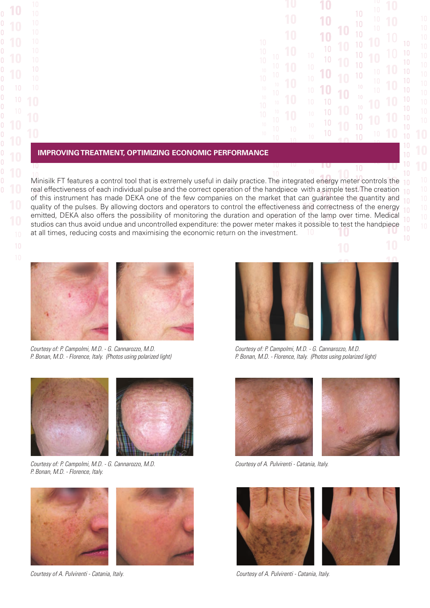| 10<br>10<br>10<br>10<br>10<br>$\overline{10}$<br>10<br>10<br>$\overline{10}$<br>$\overline{10}$<br>10<br>$\overline{10}$<br>10<br>10<br>10<br>10<br>10<br>$\overline{10}$<br>10<br>10<br>10 | ı<br>U<br>1<br>$\begin{array}{c} \square \end{array}$<br>1<br>$\begin{array}{c} \square \end{array}$<br>1<br>O<br>10<br>1<br>$\left( \right)$<br>10<br>10<br>1<br>$\left( \right)$<br>10<br>1<br>$\bm{0}$<br>10<br>1<br>10<br>$\begin{array}{c} \square \end{array}$<br>10<br>10<br>10<br>1 በ | U<br>I<br>1<br>O<br>1<br>O<br>10<br>10<br>$\left( \right)$<br>1<br>1<br>O<br>10<br>10<br>10<br>10 | 1<br>$\left( \right)$<br>1<br>$\left(\right)$<br>1<br>$\begin{matrix} 0 \end{matrix}$<br>1<br>$\begin{matrix} 0 \end{matrix}$<br>1<br>O<br>1<br>0<br>1<br>0<br>41<br>г<br>٦ | 10<br>10<br>10<br>10<br>10<br>10<br>10<br>10<br>10<br>10<br>10<br>10<br>10 | 10<br>10<br>10<br>$\bm{0}$<br>1<br>1<br>$\begin{matrix} 0 \end{matrix}$<br>10<br>10<br>10<br>$\bm{0}$<br>1<br>1<br>$\begin{bmatrix} 0 \end{bmatrix}$<br>10<br>10 |
|---------------------------------------------------------------------------------------------------------------------------------------------------------------------------------------------|-----------------------------------------------------------------------------------------------------------------------------------------------------------------------------------------------------------------------------------------------------------------------------------------------|---------------------------------------------------------------------------------------------------|-----------------------------------------------------------------------------------------------------------------------------------------------------------------------------|----------------------------------------------------------------------------|------------------------------------------------------------------------------------------------------------------------------------------------------------------|
|---------------------------------------------------------------------------------------------------------------------------------------------------------------------------------------------|-----------------------------------------------------------------------------------------------------------------------------------------------------------------------------------------------------------------------------------------------------------------------------------------------|---------------------------------------------------------------------------------------------------|-----------------------------------------------------------------------------------------------------------------------------------------------------------------------------|----------------------------------------------------------------------------|------------------------------------------------------------------------------------------------------------------------------------------------------------------|

#### **IMPROVING TREATMENT, OPTIMIZING ECONOMIC PERFORMANCE**

Minisilk FT features a control tool that is extremely useful in daily practice. The integrated energy meter controls the real effectiveness of each individual pulse and the correct operation of the handpiece with a simple test. The creation of this instrument has made DEKA one of the few companies on the market that can guarantee the quantity and quality of the pulses. By allowing doctors and operators to control the effectiveness and correctness of the energy emitted, DEKA also offers the possibility of monitoring the duration and operation of the lamp over time. Medical studios can thus avoid undue and uncontrolled expenditure: the power meter makes it possible to test the handpiece at all times, reducing costs and maximising the economic return on the investment.





*Courtesy of: P. Campolmi, M.D. - G. Cannarozzo, M.D. P. Bonan, M.D. - Florence, Italy. (Photos using polarized light)*



*Courtesy of: P. Campolmi, M.D. - G. Cannarozzo, M.D. P. Bonan, M.D. - Florence, Italy.* 



*Courtesy of A. Pulvirenti - Catania, Italy.*



*Courtesy of: P. Campolmi, M.D. - G. Cannarozzo, M.D. P. Bonan, M.D. - Florence, Italy. (Photos using polarized light)*



*Courtesy of A. Pulvirenti - Catania, Italy.*



*Courtesy of A. Pulvirenti - Catania, Italy.*